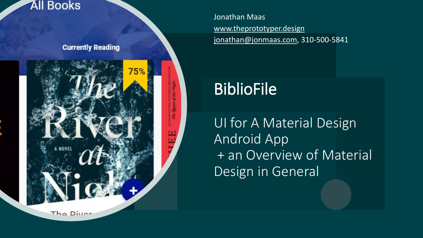#### **All Books**

**Currently Reading** 



Jonathan Maas [www.theprototyper.design](http://www.theprototyper.design/) [jonathan@jonmaas.com](mailto:jonathan@jonmaas.com), 310-500-5841

## BiblioFile

UI for A Material Design Android App + an Overview of Material Design in General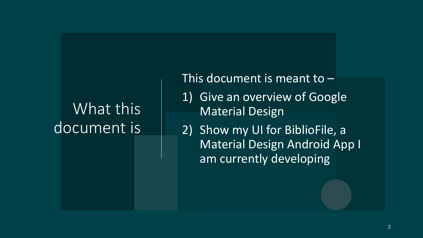### What this document is

This document is meant to –

- 1) Give an overview of Google Material Design
- 2) Show my UI for BiblioFile, a Material Design Android App I am currently developing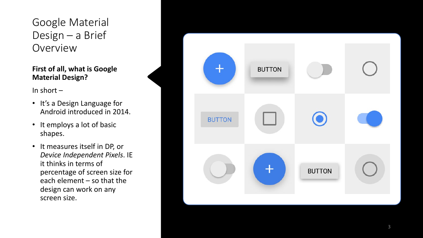Google Material Design - a Brief Overview

#### **First of all, what is Google Material Design?**

In short –

- It's a Design Language for Android introduced in 2014.
- It employs a lot of basic shapes.
- It measures itself in DP, or *Device Independent Pixels*. IE it thinks in terms of percentage of screen size for each element – so that the design can work on any screen size.

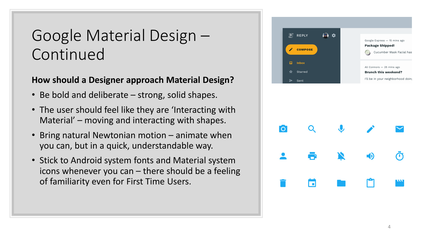#### Google Material Design – Continued

#### **How should a Designer approach Material Design?**

- Be bold and deliberate strong, solid shapes.
- The user should feel like they are 'Interacting with Material' – moving and interacting with shapes.
- Bring natural Newtonian motion animate when you can, but in a quick, understandable way.
- Stick to Android system fonts and Material system icons whenever you can – there should be a feeling of familiarity even for First Time Users.



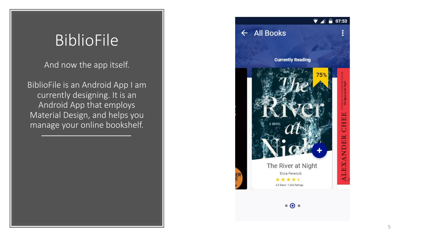#### BiblioFile

And now the app itself.

BiblioFile is an Android App I am currently designing. It is an Android App that employs Material Design, and helps you manage your online bookshelf.

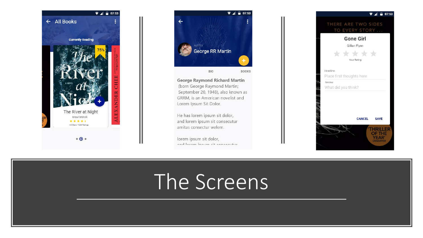



**George Raymond Richard Martin** (born George Raymond Martin; September 20, 1948), also known as GRRM, is an American novelist and Lorem Ipsum Sit Dolor.

He has lorem ipsum sit dolor, and lorem ipsum sit consecutur amitas consectur welem.

lorem ipsum sit dolor, and locale incum oit concocutur.



# The Screens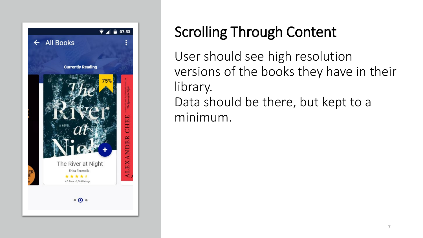

### Scrolling Through Content

User should see high resolution versions of the books they have in their library. Data should be there, but kept to a minimum.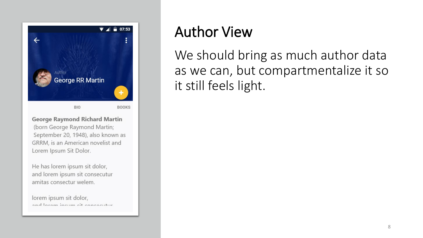

**George Raymond Richard Martin** (born George Raymond Martin; September 20, 1948), also known as GRRM, is an American novelist and Lorem Ipsum Sit Dolor.

He has lorem ipsum sit dolor, and lorem ipsum sit consecutur amitas consectur welem.

lorem ipsum sit dolor, and laram incum cit cancacutur

#### Author View

We should bring as much author data as we can, but compartmentalize it so it still feels light.